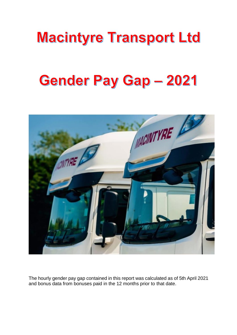## **Macintyre Transport Ltd**

# **Gender Pay Gap - 2021**



The hourly gender pay gap contained in this report was calculated as of 5th April 2021 and bonus data from bonuses paid in the 12 months prior to that date.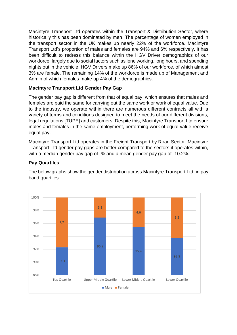Macintyre Transport Ltd operates within the Transport & Distribution Sector, where historically this has been dominated by men. The percentage of women employed in the transport sector in the UK makes up nearly 22% of the workforce. Macintyre Transport Ltd's proportion of males and females are 94% and 6% respectively. It has been difficult to redress this balance within the HGV Driver demographics of our workforce, largely due to social factors such as lone working, long hours, and spending nights out in the vehicle. HGV Drivers make up 86% of our workforce, of which almost 3% are female. The remaining 14% of the workforce is made up of Management and Admin of which females make up 4% of the demographics.

## **Macintyre Transport Ltd Gender Pay Gap**

The gender pay gap is different from that of equal pay, which ensures that males and females are paid the same for carrying out the same work or work of equal value. Due to the industry, we operate within there are numerous different contracts all with a variety of terms and conditions designed to meet the needs of our different divisions, legal regulations [TUPE] and customers. Despite this, Macintyre Transport Ltd ensure males and females in the same employment, performing work of equal value receive equal pay.

Macintyre Transport Ltd operates in the Freight Transport by Road Sector. Macintyre Transport Ltd gender pay gaps are better compared to the sectors it operates within, with a median gender pay gap of -% and a mean gender pay gap of -10.2%.

## **Pay Quartiles**

The below graphs show the gender distribution across Macintyre Transport Ltd, in pay band quartiles.